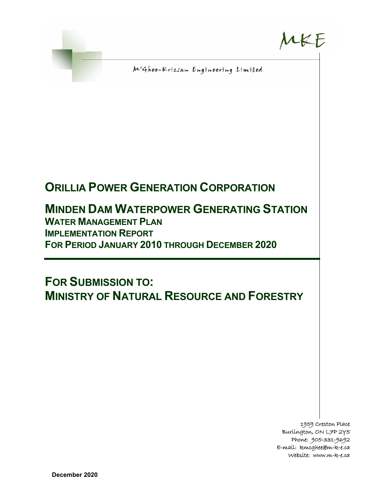

MKE

McGhee-Krizsan Engineering Limited

# **ORILLIA POWER GENERATION CORPORATION**

# **MINDEN DAM WATERPOWER GENERATING STATION WATER MANAGEMENT PLAN**

**IMPLEMENTATION REPORT FOR PERIOD JANUARY 2010 THROUGH DECEMBER 2020** 

**FOR SUBMISSION TO: MINISTRY OF NATURAL RESOURCE AND FORESTRY**

> 1959 Creston Place Burlington, ON L7P 2Y5 Phone: 905-331-9692 E-mail: kmcghee@m-k-e.ca Website: www.m-k-e.ca

**December 2020**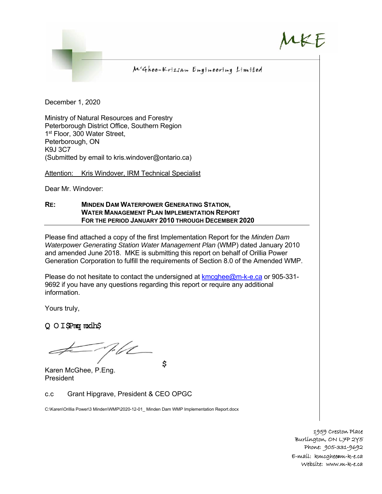### McGhee-Krizsan Engineering Limited

December 1, 2020

Ministry of Natural Resources and Forestry Peterborough District Office, Southern Region 1<sup>st</sup> Floor, 300 Water Street, Peterborough, ON K9J 3C7 (Submitted by email to kris.windover@ontario.ca)

Attention: Kris Windover, IRM Technical Specialist

Dear Mr. Windover:

#### **RE: MINDEN DAM WATERPOWER GENERATING STATION, WATER MANAGEMENT PLAN IMPLEMENTATION REPORT FOR THE PERIOD JANUARY 2010 THROUGH DECEMBER 2020**

Please find attached a copy of the first Implementation Report for the *Minden Dam Waterpower Generating Station Water Management Plan* (WMP) dated January 2010 and amended June 2018. MKE is submitting this report on behalf of Orillia Power Generation Corporation to fulfill the requirements of Section 8.0 of the Amended WMP.

Please do not hesitate to contact the undersigned at kmcghee@m-k-e.ca or 905-331- 9692 if you have any questions regarding this report or require any additional information.

\$

Yours truly,

Q O I SPnog main\$

7. V C

Karen McGhee, P.Eng. President

c.c Grant Hipgrave, President & CEO OPGC

C:\Karen\Orillia Power\3 Minden\WMP\2020-12-01\_ Minden Dam WMP Implementation Report.docx

1959 Creston Place Burlington, ON L7P 2Y5 Phone: 905-331-9692 E-mail: kmcghee@m-k-e.ca Website: www.m-k-e.ca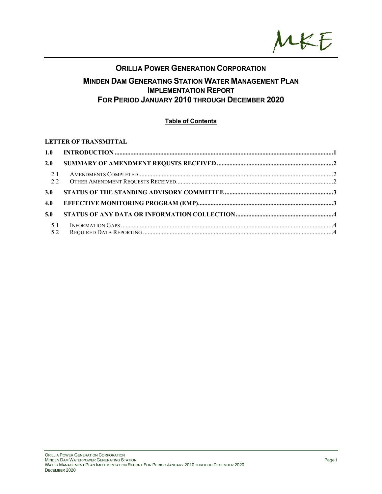

## **ORILLIA POWER GENERATION CORPORATION MINDEN DAM GENERATING STATION WATER MANAGEMENT PLAN IMPLEMENTATION REPORT FOR PERIOD JANUARY 2010 THROUGH DECEMBER 2020**

#### **Table of Contents**

#### **LETTER OF TRANSMITTAL**

| 2.0        |  |
|------------|--|
| 2.1<br>2.2 |  |
| 3.0        |  |
| 4.0        |  |
| 5.0        |  |
| 5.1        |  |
| 5.2        |  |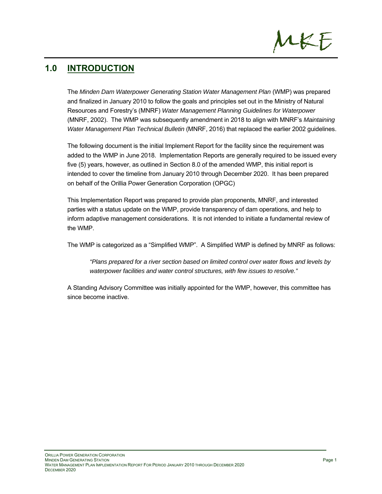## **1.0 INTRODUCTION**

The *Minden Dam Waterpower Generating Station Water Management Plan* (WMP) was prepared and finalized in January 2010 to follow the goals and principles set out in the Ministry of Natural Resources and Forestry's (MNRF) *Water Management Planning Guidelines for Waterpower* (MNRF, 2002). The WMP was subsequently amendment in 2018 to align with MNRF's *Maintaining Water Management Plan Technical Bulletin* (MNRF, 2016) that replaced the earlier 2002 guidelines.

The following document is the initial Implement Report for the facility since the requirement was added to the WMP in June 2018. Implementation Reports are generally required to be issued every five (5) years, however, as outlined in Section 8.0 of the amended WMP, this initial report is intended to cover the timeline from January 2010 through December 2020. It has been prepared on behalf of the Orillia Power Generation Corporation (OPGC)

This Implementation Report was prepared to provide plan proponents, MNRF, and interested parties with a status update on the WMP, provide transparency of dam operations, and help to inform adaptive management considerations. It is not intended to initiate a fundamental review of the WMP.

The WMP is categorized as a "Simplified WMP". A Simplified WMP is defined by MNRF as follows:

*"Plans prepared for a river section based on limited control over water flows and levels by waterpower facilities and water control structures, with few issues to resolve."* 

A Standing Advisory Committee was initially appointed for the WMP, however, this committee has since become inactive.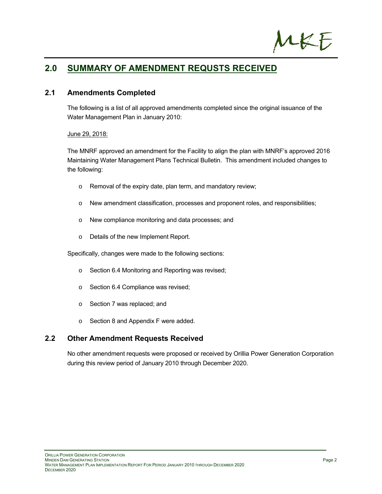

## **2.0 SUMMARY OF AMENDMENT REQUSTS RECEIVED**

#### **2.1 Amendments Completed**

The following is a list of all approved amendments completed since the original issuance of the Water Management Plan in January 2010:

#### June 29, 2018:

The MNRF approved an amendment for the Facility to align the plan with MNRF's approved 2016 Maintaining Water Management Plans Technical Bulletin. This amendment included changes to the following:

- o Removal of the expiry date, plan term, and mandatory review;
- o New amendment classification, processes and proponent roles, and responsibilities;
- o New compliance monitoring and data processes; and
- o Details of the new Implement Report.

Specifically, changes were made to the following sections:

- o Section 6.4 Monitoring and Reporting was revised;
- o Section 6.4 Compliance was revised;
- o Section 7 was replaced; and
- o Section 8 and Appendix F were added.

#### **2.2 Other Amendment Requests Received**

No other amendment requests were proposed or received by Orillia Power Generation Corporation during this review period of January 2010 through December 2020.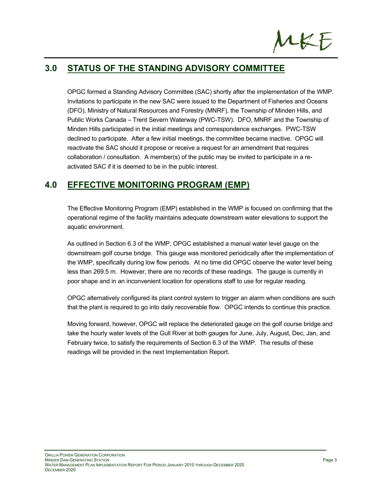

## **3.0 STATUS OF THE STANDING ADVISORY COMMITTEE**

OPGC formed a Standing Advisory Committee (SAC) shortly after the implementation of the WMP. Invitations to participate in the new SAC were issued to the Department of Fisheries and Oceans (DFO), Ministry of Natural Resources and Forestry (MNRF), the Township of Minden Hills, and Public Works Canada – Trent Severn Waterway (PWC-TSW). DFO, MNRF and the Township of Minden Hills participated in the initial meetings and correspondence exchanges. PWC-TSW declined to participate. After a few initial meetings, the committee became inactive. OPGC will reactivate the SAC should it propose or receive a request for an amendment that requires collaboration / consultation. A member(s) of the public may be invited to participate in a reactivated SAC if it is deemed to be in the public interest.

## **4.0 EFFECTIVE MONITORING PROGRAM (EMP)**

The Effective Monitoring Program (EMP) established in the WMP is focused on confirming that the operational regime of the facility maintains adequate downstream water elevations to support the aquatic environment.

As outlined in Section 6.3 of the WMP, OPGC established a manual water level gauge on the downstream golf course bridge. This gauge was monitored periodically after the implementation of the WMP, specifically during low flow periods. At no time did OPGC observe the water level being less than 269.5 m. However, there are no records of these readings. The gauge is currently in poor shape and in an inconvenient location for operations staff to use for regular reading.

OPGC alternatively configured its plant control system to trigger an alarm when conditions are such that the plant is required to go into daily recoverable flow. OPGC intends to continue this practice.

Moving forward, however, OPGC will replace the deteriorated gauge on the golf course bridge and take the hourly water levels of the Gull River at both gauges for June, July, August, Dec, Jan, and February twice, to satisfy the requirements of Section 6.3 of the WMP. The results of these readings will be provided in the next Implementation Report.